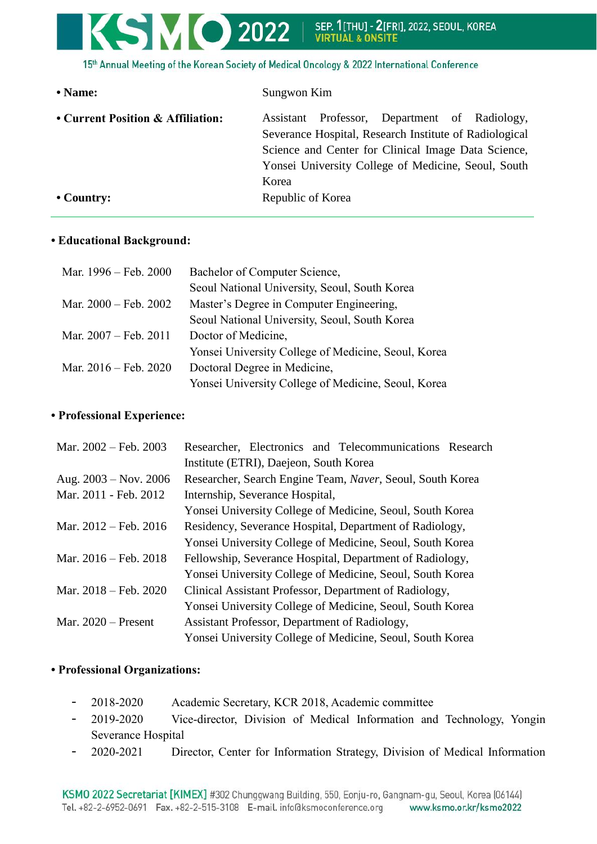# **SMO** 2022 | SEP. 1[THU] - 2[FRI], 2022, SEOUL, KOREA

15th Annual Meeting of the Korean Society of Medical Oncology & 2022 International Conference

| • Name:                           | Sungwon Kim                                                                                                                                                       |
|-----------------------------------|-------------------------------------------------------------------------------------------------------------------------------------------------------------------|
| • Current Position & Affiliation: | Professor, Department of Radiology,<br>Assistant<br>Severance Hospital, Research Institute of Radiological<br>Science and Center for Clinical Image Data Science, |
| $\cdot$ Country:                  | Yonsei University College of Medicine, Seoul, South<br>Korea<br>Republic of Korea                                                                                 |

#### **• Educational Background:**

| Mar. 1996 – Feb. 2000 | Bachelor of Computer Science,                       |
|-----------------------|-----------------------------------------------------|
|                       | Seoul National University, Seoul, South Korea       |
| Mar. 2000 – Feb. 2002 | Master's Degree in Computer Engineering,            |
|                       | Seoul National University, Seoul, South Korea       |
| Mar. 2007 – Feb. 2011 | Doctor of Medicine,                                 |
|                       | Yonsei University College of Medicine, Seoul, Korea |
| Mar. 2016 – Feb. 2020 | Doctoral Degree in Medicine,                        |
|                       | Yonsei University College of Medicine, Seoul, Korea |

### **• Professional Experience:**

| Mar. 2002 – Feb. 2003           | Researcher, Electronics and Telecommunications Research   |
|---------------------------------|-----------------------------------------------------------|
|                                 | Institute (ETRI), Daejeon, South Korea                    |
| Aug. $2003 - Nov. 2006$         | Researcher, Search Engine Team, Naver, Seoul, South Korea |
| Mar. 2011 - Feb. 2012           | Internship, Severance Hospital,                           |
|                                 | Yonsei University College of Medicine, Seoul, South Korea |
| Mar. $2012 - \text{Feb. } 2016$ | Residency, Severance Hospital, Department of Radiology,   |
|                                 | Yonsei University College of Medicine, Seoul, South Korea |
| Mar. $2016 - \text{Feb. } 2018$ | Fellowship, Severance Hospital, Department of Radiology,  |
|                                 | Yonsei University College of Medicine, Seoul, South Korea |
| Mar. $2018 - \text{Feb. } 2020$ | Clinical Assistant Professor, Department of Radiology,    |
|                                 | Yonsei University College of Medicine, Seoul, South Korea |
| Mar. $2020$ – Present           | Assistant Professor, Department of Radiology,             |
|                                 | Yonsei University College of Medicine, Seoul, South Korea |

## **• Professional Organizations:**

- 2018-2020 Academic Secretary, KCR 2018, Academic committee
- 2019-2020 Vice-director, Division of Medical Information and Technology, Yongin Severance Hospital
- 2020-2021 Director, Center for Information Strategy, Division of Medical Information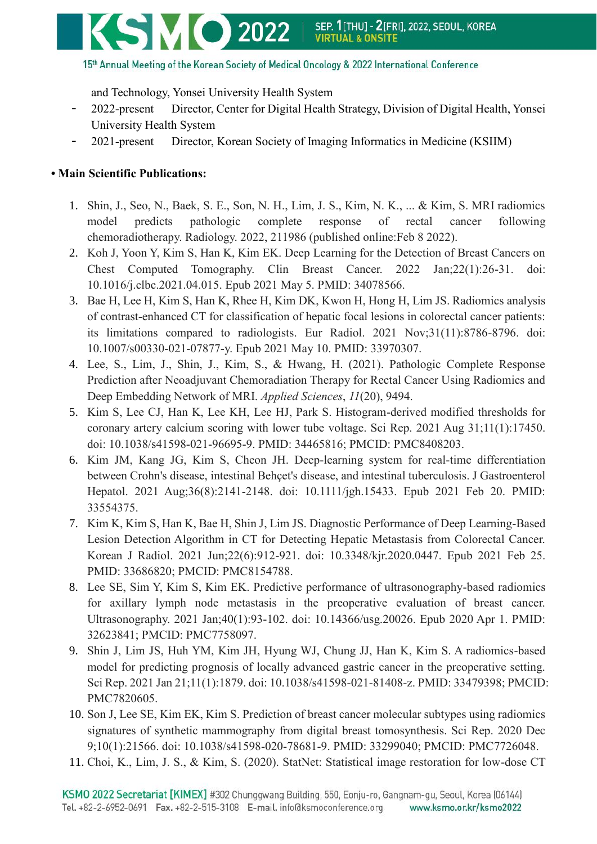

#### 15th Annual Meeting of the Korean Society of Medical Oncology & 2022 International Conference

and Technology, Yonsei University Health System

- 2022-present Director, Center for Digital Health Strategy, Division of Digital Health, Yonsei University Health System
- 2021-present Director, Korean Society of Imaging Informatics in Medicine (KSIIM)

## **• Main Scientific Publications:**

- 1. Shin, J., Seo, N., Baek, S. E., Son, N. H., Lim, J. S., Kim, N. K., ... & Kim, S. MRI radiomics model predicts pathologic complete response of rectal cancer following chemoradiotherapy. Radiology. 2022, 211986 (published online:Feb 8 2022).
- 2. Koh J, Yoon Y, Kim S, Han K, Kim EK. Deep Learning for the Detection of Breast Cancers on Chest Computed Tomography. Clin Breast Cancer. 2022 Jan;22(1):26-31. doi: 10.1016/j.clbc.2021.04.015. Epub 2021 May 5. PMID: 34078566.
- 3. Bae H, Lee H, Kim S, Han K, Rhee H, Kim DK, Kwon H, Hong H, Lim JS. Radiomics analysis of contrast-enhanced CT for classification of hepatic focal lesions in colorectal cancer patients: its limitations compared to radiologists. Eur Radiol. 2021 Nov;31(11):8786-8796. doi: 10.1007/s00330-021-07877-y. Epub 2021 May 10. PMID: 33970307.
- 4. Lee, S., Lim, J., Shin, J., Kim, S., & Hwang, H. (2021). Pathologic Complete Response Prediction after Neoadjuvant Chemoradiation Therapy for Rectal Cancer Using Radiomics and Deep Embedding Network of MRI. *Applied Sciences*, *11*(20), 9494.
- 5. Kim S, Lee CJ, Han K, Lee KH, Lee HJ, Park S. Histogram-derived modified thresholds for coronary artery calcium scoring with lower tube voltage. Sci Rep. 2021 Aug 31;11(1):17450. doi: 10.1038/s41598-021-96695-9. PMID: 34465816; PMCID: PMC8408203.
- 6. Kim JM, Kang JG, Kim S, Cheon JH. Deep-learning system for real-time differentiation between Crohn's disease, intestinal Behçet's disease, and intestinal tuberculosis. J Gastroenterol Hepatol. 2021 Aug;36(8):2141-2148. doi: 10.1111/jgh.15433. Epub 2021 Feb 20. PMID: 33554375.
- 7. Kim K, Kim S, Han K, Bae H, Shin J, Lim JS. Diagnostic Performance of Deep Learning-Based Lesion Detection Algorithm in CT for Detecting Hepatic Metastasis from Colorectal Cancer. Korean J Radiol. 2021 Jun;22(6):912-921. doi: 10.3348/kjr.2020.0447. Epub 2021 Feb 25. PMID: 33686820; PMCID: PMC8154788.
- 8. Lee SE, Sim Y, Kim S, Kim EK. Predictive performance of ultrasonography-based radiomics for axillary lymph node metastasis in the preoperative evaluation of breast cancer. Ultrasonography. 2021 Jan;40(1):93-102. doi: 10.14366/usg.20026. Epub 2020 Apr 1. PMID: 32623841; PMCID: PMC7758097.
- 9. Shin J, Lim JS, Huh YM, Kim JH, Hyung WJ, Chung JJ, Han K, Kim S. A radiomics-based model for predicting prognosis of locally advanced gastric cancer in the preoperative setting. Sci Rep. 2021 Jan 21;11(1):1879. doi: 10.1038/s41598-021-81408-z. PMID: 33479398; PMCID: PMC7820605.
- 10. Son J, Lee SE, Kim EK, Kim S. Prediction of breast cancer molecular subtypes using radiomics signatures of synthetic mammography from digital breast tomosynthesis. Sci Rep. 2020 Dec 9;10(1):21566. doi: 10.1038/s41598-020-78681-9. PMID: 33299040; PMCID: PMC7726048.
- 11. Choi, K., Lim, J. S., & Kim, S. (2020). StatNet: Statistical image restoration for low-dose CT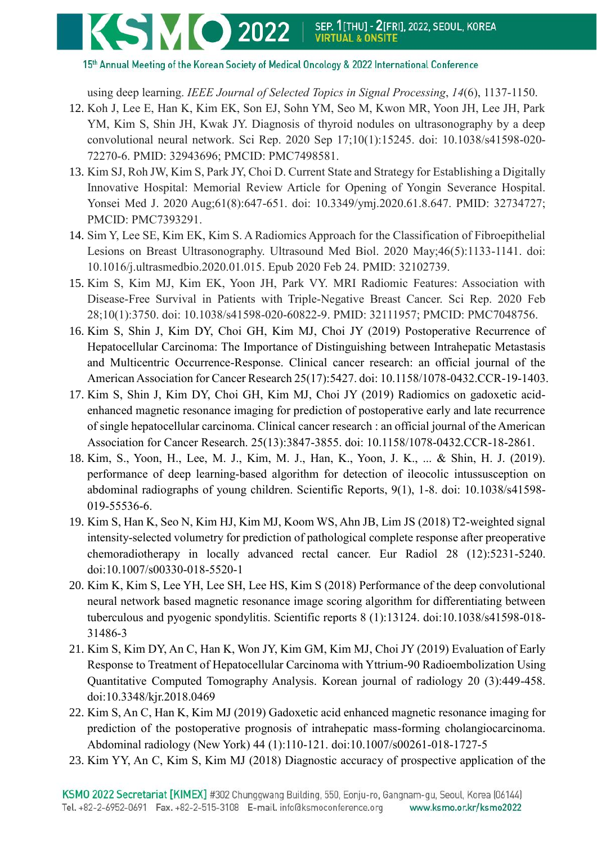

15th Annual Meeting of the Korean Society of Medical Oncology & 2022 International Conference

using deep learning. *IEEE Journal of Selected Topics in Signal Processing*, *14*(6), 1137-1150.

- 12. Koh J, Lee E, Han K, Kim EK, Son EJ, Sohn YM, Seo M, Kwon MR, Yoon JH, Lee JH, Park YM, Kim S, Shin JH, Kwak JY. Diagnosis of thyroid nodules on ultrasonography by a deep convolutional neural network. Sci Rep. 2020 Sep 17;10(1):15245. doi: 10.1038/s41598-020- 72270-6. PMID: 32943696; PMCID: PMC7498581.
- 13. Kim SJ, Roh JW, Kim S, Park JY, Choi D. Current State and Strategy for Establishing a Digitally Innovative Hospital: Memorial Review Article for Opening of Yongin Severance Hospital. Yonsei Med J. 2020 Aug;61(8):647-651. doi: 10.3349/ymj.2020.61.8.647. PMID: 32734727; PMCID: PMC7393291.
- 14. Sim Y, Lee SE, Kim EK, Kim S. A Radiomics Approach for the Classification of Fibroepithelial Lesions on Breast Ultrasonography. Ultrasound Med Biol. 2020 May;46(5):1133-1141. doi: 10.1016/j.ultrasmedbio.2020.01.015. Epub 2020 Feb 24. PMID: 32102739.
- 15. Kim S, Kim MJ, Kim EK, Yoon JH, Park VY. MRI Radiomic Features: Association with Disease-Free Survival in Patients with Triple-Negative Breast Cancer. Sci Rep. 2020 Feb 28;10(1):3750. doi: 10.1038/s41598-020-60822-9. PMID: 32111957; PMCID: PMC7048756.
- 16. Kim S, Shin J, Kim DY, Choi GH, Kim MJ, Choi JY (2019) Postoperative Recurrence of Hepatocellular Carcinoma: The Importance of Distinguishing between Intrahepatic Metastasis and Multicentric Occurrence-Response. Clinical cancer research: an official journal of the American Association for Cancer Research 25(17):5427. doi: 10.1158/1078-0432.CCR-19-1403.
- 17. Kim S, Shin J, Kim DY, Choi GH, Kim MJ, Choi JY (2019) Radiomics on gadoxetic acidenhanced magnetic resonance imaging for prediction of postoperative early and late recurrence of single hepatocellular carcinoma. Clinical cancer research : an official journal of the American Association for Cancer Research. 25(13):3847-3855. doi: 10.1158/1078-0432.CCR-18-2861.
- 18. Kim, S., Yoon, H., Lee, M. J., Kim, M. J., Han, K., Yoon, J. K., ... & Shin, H. J. (2019). performance of deep learning-based algorithm for detection of ileocolic intussusception on abdominal radiographs of young children. Scientific Reports, 9(1), 1-8. doi: 10.1038/s41598- 019-55536-6.
- 19. Kim S, Han K, Seo N, Kim HJ, Kim MJ, Koom WS, Ahn JB, Lim JS (2018) T2-weighted signal intensity-selected volumetry for prediction of pathological complete response after preoperative chemoradiotherapy in locally advanced rectal cancer. Eur Radiol 28 (12):5231-5240. doi:10.1007/s00330-018-5520-1
- 20. Kim K, Kim S, Lee YH, Lee SH, Lee HS, Kim S (2018) Performance of the deep convolutional neural network based magnetic resonance image scoring algorithm for differentiating between tuberculous and pyogenic spondylitis. Scientific reports 8 (1):13124. doi:10.1038/s41598-018- 31486-3
- 21. Kim S, Kim DY, An C, Han K, Won JY, Kim GM, Kim MJ, Choi JY (2019) Evaluation of Early Response to Treatment of Hepatocellular Carcinoma with Yttrium-90 Radioembolization Using Quantitative Computed Tomography Analysis. Korean journal of radiology 20 (3):449-458. doi:10.3348/kjr.2018.0469
- 22. Kim S, An C, Han K, Kim MJ (2019) Gadoxetic acid enhanced magnetic resonance imaging for prediction of the postoperative prognosis of intrahepatic mass-forming cholangiocarcinoma. Abdominal radiology (New York) 44 (1):110-121. doi:10.1007/s00261-018-1727-5
- 23. Kim YY, An C, Kim S, Kim MJ (2018) Diagnostic accuracy of prospective application of the